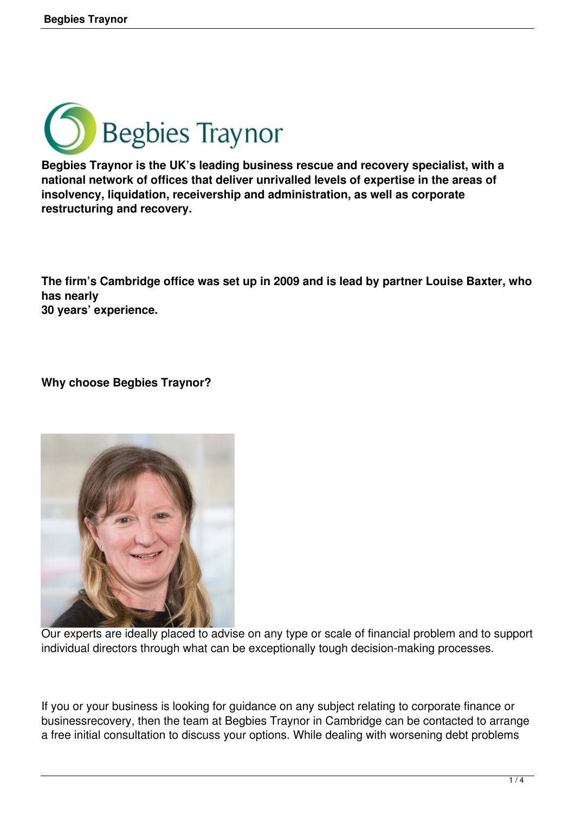

**Begbies Traynor is the UK's leading business rescue and recovery specialist, with a national network of offices that deliver unrivalled levels of expertise in the areas of insolvency, liquidation, receivership and administration, as well as corporate restructuring and recovery.** 

**The firm's Cambridge office was set up in 2009 and is lead by partner Louise Baxter, who has nearly 30 years' experience.** 

**Why choose Begbies Traynor?**



Our experts are ideally placed to advise on any type or scale of financial problem and to support individual directors through what can be exceptionally tough decision-making processes.

If you or your business is looking for guidance on any subject relating to corporate finance or businessrecovery, then the team at Begbies Traynor in Cambridge can be contacted to arrange a free initial consultation to discuss your options. While dealing with worsening debt problems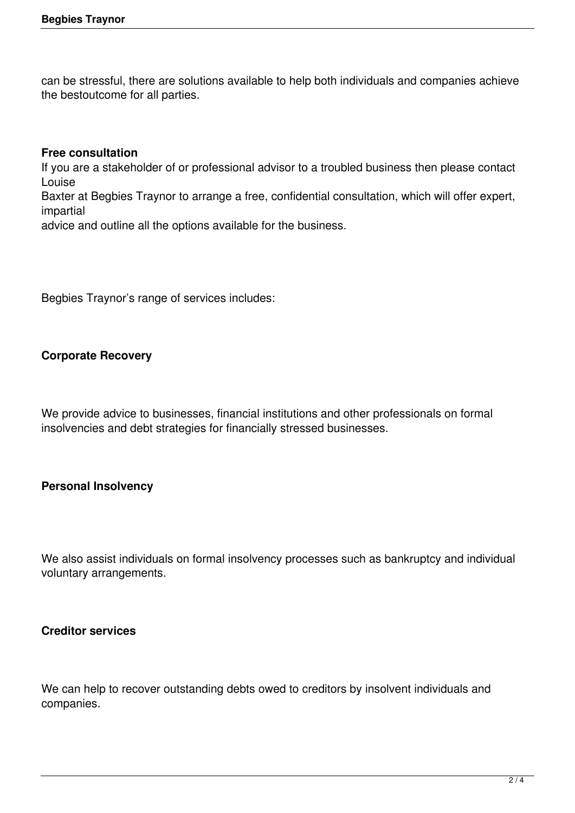can be stressful, there are solutions available to help both individuals and companies achieve the bestoutcome for all parties.

#### **Free consultation**

If you are a stakeholder of or professional advisor to a troubled business then please contact Louise

Baxter at Begbies Traynor to arrange a free, confidential consultation, which will offer expert, impartial

advice and outline all the options available for the business.

Begbies Traynor's range of services includes:

# **Corporate Recovery**

We provide advice to businesses, financial institutions and other professionals on formal insolvencies and debt strategies for financially stressed businesses.

### **Personal Insolvency**

We also assist individuals on formal insolvency processes such as bankruptcy and individual voluntary arrangements.

### **Creditor services**

We can help to recover outstanding debts owed to creditors by insolvent individuals and companies.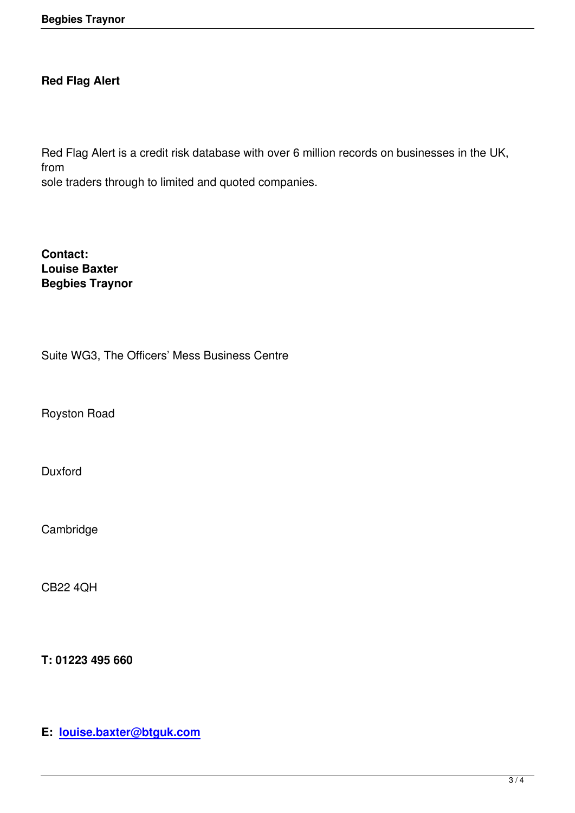# **Red Flag Alert**

Red Flag Alert is a credit risk database with over 6 million records on businesses in the UK, from

sole traders through to limited and quoted companies.

**Contact: Louise Baxter Begbies Traynor**

Suite WG3, The Officers' Mess Business Centre

Royston Road

Duxford

**Cambridge** 

CB22 4QH

**T: 01223 495 660**

**E: louise.baxter@btguk.com**